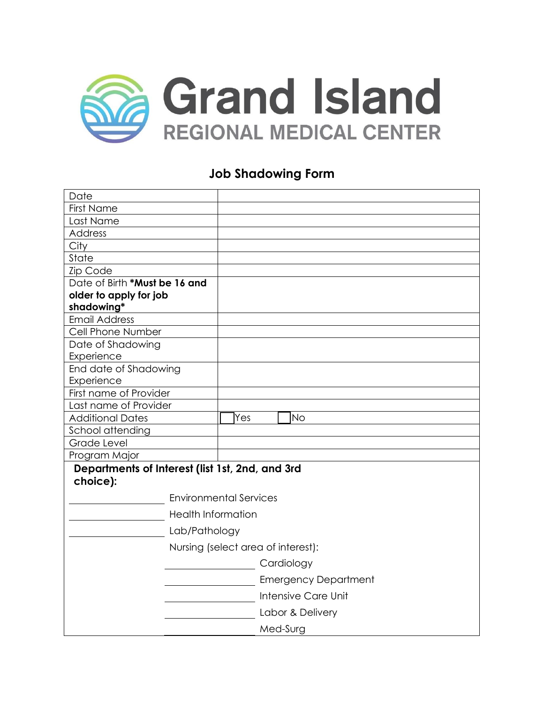

### **Job Shadowing Form**

| Date                                                        |                                    |  |
|-------------------------------------------------------------|------------------------------------|--|
| <b>First Name</b>                                           |                                    |  |
| Last Name                                                   |                                    |  |
| Address                                                     |                                    |  |
| City                                                        |                                    |  |
| State                                                       |                                    |  |
| Zip Code                                                    |                                    |  |
| Date of Birth *Must be 16 and                               |                                    |  |
| older to apply for job                                      |                                    |  |
| shadowing*                                                  |                                    |  |
| <b>Email Address</b>                                        |                                    |  |
| Cell Phone Number                                           |                                    |  |
| Date of Shadowing                                           |                                    |  |
| Experience                                                  |                                    |  |
| End date of Shadowing                                       |                                    |  |
| Experience                                                  |                                    |  |
| First name of Provider                                      |                                    |  |
| Last name of Provider                                       |                                    |  |
| <b>Additional Dates</b>                                     | Yes<br><b>No</b>                   |  |
| School attending                                            |                                    |  |
| Grade Level                                                 |                                    |  |
| Program Major                                               |                                    |  |
| Departments of Interest (list 1st, 2nd, and 3rd<br>choice): |                                    |  |
|                                                             | <b>Environmental Services</b>      |  |
|                                                             | <b>Health Information</b>          |  |
|                                                             | Lab/Pathology                      |  |
|                                                             | Nursing (select area of interest): |  |
|                                                             | Cardiology                         |  |
|                                                             | <b>Emergency Department</b>        |  |
|                                                             | Intensive Care Unit                |  |
|                                                             | Labor & Delivery                   |  |
|                                                             | Med-Surg                           |  |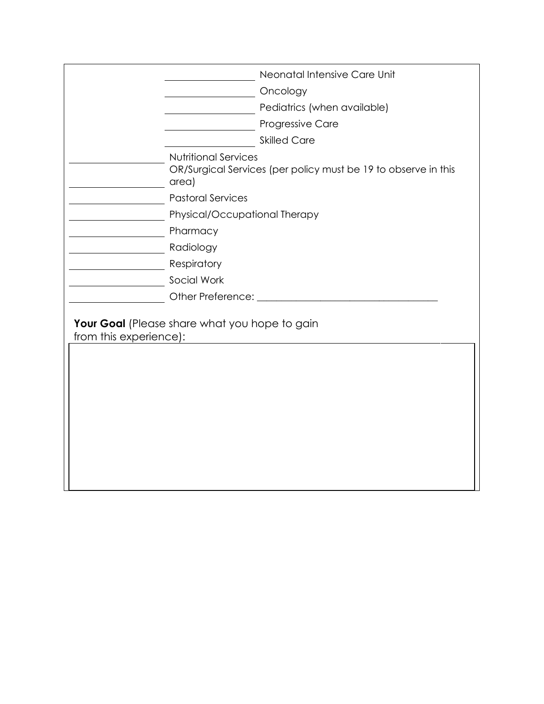|                        | Neonatal Intensive Care Unit                                                                           |  |
|------------------------|--------------------------------------------------------------------------------------------------------|--|
|                        | Oncology                                                                                               |  |
|                        | Pediatrics (when available)                                                                            |  |
|                        | Progressive Care                                                                                       |  |
|                        | <b>Skilled Care</b>                                                                                    |  |
|                        | <b>Nutritional Services</b><br>OR/Surgical Services (per policy must be 19 to observe in this<br>area) |  |
|                        | <b>Pastoral Services</b>                                                                               |  |
|                        | Physical/Occupational Therapy                                                                          |  |
|                        | Pharmacy                                                                                               |  |
|                        | Radiology                                                                                              |  |
|                        | Respiratory                                                                                            |  |
|                        | Social Work                                                                                            |  |
|                        | Other Preference: _____________                                                                        |  |
| from this experience): | Your Goal (Please share what you hope to gain                                                          |  |
|                        |                                                                                                        |  |
|                        |                                                                                                        |  |
|                        |                                                                                                        |  |
|                        |                                                                                                        |  |
|                        |                                                                                                        |  |
|                        |                                                                                                        |  |
|                        |                                                                                                        |  |
|                        |                                                                                                        |  |
|                        |                                                                                                        |  |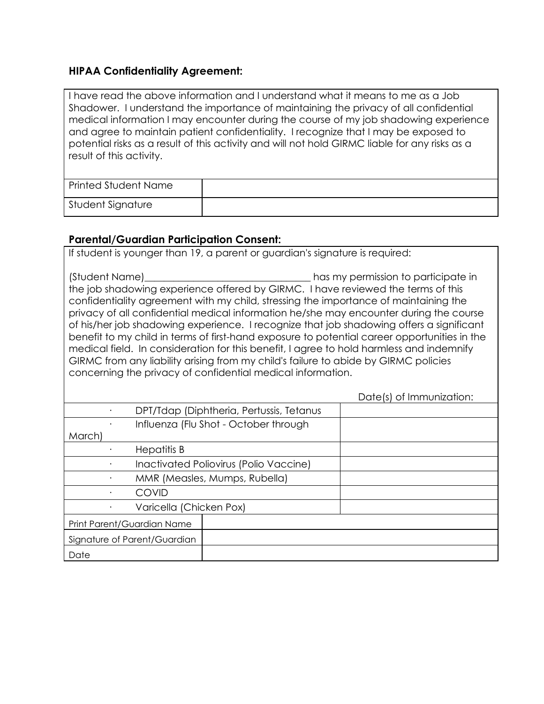# **HIPAA Confidentiality Agreement:**

| I have read the above information and I understand what it means to me as a Job                |  |  |  |  |
|------------------------------------------------------------------------------------------------|--|--|--|--|
| Shadower. I understand the importance of maintaining the privacy of all confidential           |  |  |  |  |
| medical information I may encounter during the course of my job shadowing experience           |  |  |  |  |
| and agree to maintain patient confidentiality. I recognize that I may be exposed to            |  |  |  |  |
| potential risks as a result of this activity and will not hold GIRMC liable for any risks as a |  |  |  |  |
| result of this activity.                                                                       |  |  |  |  |
|                                                                                                |  |  |  |  |
|                                                                                                |  |  |  |  |

| Printed Student Name |  |
|----------------------|--|
| Student Signature    |  |

## **Parental/Guardian Participation Consent:**

| If student is younger than 19, a parent or guardian's signature is required:                                                                                                                                                                                                                                                                                                                                                                                                                                                                                                                                                                                                                                                                                              |                                          |                          |  |  |
|---------------------------------------------------------------------------------------------------------------------------------------------------------------------------------------------------------------------------------------------------------------------------------------------------------------------------------------------------------------------------------------------------------------------------------------------------------------------------------------------------------------------------------------------------------------------------------------------------------------------------------------------------------------------------------------------------------------------------------------------------------------------------|------------------------------------------|--------------------------|--|--|
| (Student Name)<br>has my permission to participate in<br>the job shadowing experience offered by GIRMC. I have reviewed the terms of this<br>confidentiality agreement with my child, stressing the importance of maintaining the<br>privacy of all confidential medical information he/she may encounter during the course<br>of his/her job shadowing experience. I recognize that job shadowing offers a significant<br>benefit to my child in terms of first-hand exposure to potential career opportunities in the<br>medical field. In consideration for this benefit, I agree to hold harmless and indemnify<br>GIRMC from any liability arising from my child's failure to abide by GIRMC policies<br>concerning the privacy of confidential medical information. |                                          |                          |  |  |
|                                                                                                                                                                                                                                                                                                                                                                                                                                                                                                                                                                                                                                                                                                                                                                           |                                          | Date(s) of Immunization: |  |  |
|                                                                                                                                                                                                                                                                                                                                                                                                                                                                                                                                                                                                                                                                                                                                                                           | DPT/Tdap (Diphtheria, Pertussis, Tetanus |                          |  |  |
|                                                                                                                                                                                                                                                                                                                                                                                                                                                                                                                                                                                                                                                                                                                                                                           | Influenza (Flu Shot - October through    |                          |  |  |
| March)                                                                                                                                                                                                                                                                                                                                                                                                                                                                                                                                                                                                                                                                                                                                                                    |                                          |                          |  |  |
| <b>Hepatitis B</b>                                                                                                                                                                                                                                                                                                                                                                                                                                                                                                                                                                                                                                                                                                                                                        |                                          |                          |  |  |
| Inactivated Poliovirus (Polio Vaccine)                                                                                                                                                                                                                                                                                                                                                                                                                                                                                                                                                                                                                                                                                                                                    |                                          |                          |  |  |
| MMR (Measles, Mumps, Rubella)                                                                                                                                                                                                                                                                                                                                                                                                                                                                                                                                                                                                                                                                                                                                             |                                          |                          |  |  |
| <b>COVID</b>                                                                                                                                                                                                                                                                                                                                                                                                                                                                                                                                                                                                                                                                                                                                                              |                                          |                          |  |  |
| Varicella (Chicken Pox)                                                                                                                                                                                                                                                                                                                                                                                                                                                                                                                                                                                                                                                                                                                                                   |                                          |                          |  |  |
| Print Parent/Guardian Name                                                                                                                                                                                                                                                                                                                                                                                                                                                                                                                                                                                                                                                                                                                                                |                                          |                          |  |  |
| Signature of Parent/Guardian                                                                                                                                                                                                                                                                                                                                                                                                                                                                                                                                                                                                                                                                                                                                              |                                          |                          |  |  |
| Date                                                                                                                                                                                                                                                                                                                                                                                                                                                                                                                                                                                                                                                                                                                                                                      |                                          |                          |  |  |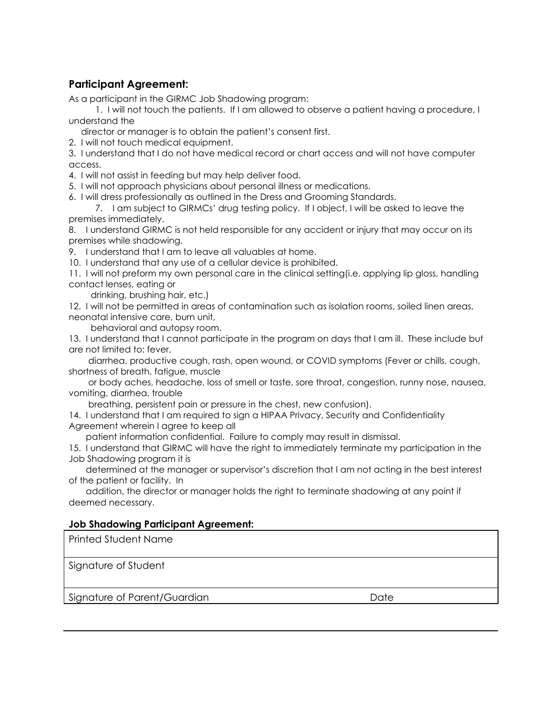#### **Participant Agreement:**

As a participant in the GIRMC Job Shadowing program:

1. I will not touch the patients. If I am allowed to observe a patient having a procedure, I understand the

director or manager is to obtain the patient's consent first.

2. I will not touch medical equipment.

3. I understand that I do not have medical record or chart access and will not have computer access.

4. I will not assist in feeding but may help deliver food.

5. I will not approach physicians about personal illness or medications.

6. I will dress professionally as outlined in the Dress and Grooming Standards.

7. I am subject to GIRMCs' drug testing policy. If I object, I will be asked to leave the premises immediately.

8. I understand GIRMC is not held responsible for any accident or injury that may occur on its premises while shadowing.

9. I understand that I am to leave all valuables at home.

10. I understand that any use of a cellular device is prohibited.

11. I will not preform my own personal care in the clinical setting(i.e. applying lip gloss, handling contact lenses, eating or

drinking, brushing hair, etc.)

12. I will not be permitted in areas of contamination such as isolation rooms, soiled linen areas, neonatal intensive care, burn unit,

behavioral and autopsy room.

13. I understand that I cannot participate in the program on days that I am ill. These include but are not limited to: fever,

 diarrhea, productive cough, rash, open wound, or COVID symptoms (Fever or chills, cough, shortness of breath, fatigue, muscle

 or body aches, headache, loss of smell or taste, sore throat, congestion, runny nose, nausea, vomiting, diarrhea, trouble

breathing, persistent pain or pressure in the chest, new confusion).

14. I understand that I am required to sign a HIPAA Privacy, Security and Confidentiality Agreement wherein I agree to keep all

patient information confidential. Failure to comply may result in dismissal.

15. I understand that GIRMC will have the right to immediately terminate my participation in the Job Shadowing program it is

 determined at the manager or supervisor's discretion that I am not acting in the best interest of the patient or facility. In

 addition, the director or manager holds the right to terminate shadowing at any point if deemed necessary.

#### **Job Shadowing Participant Agreement:**

Printed Student Name

Signature of Student

Signature of Parent/Guardian and Date Date